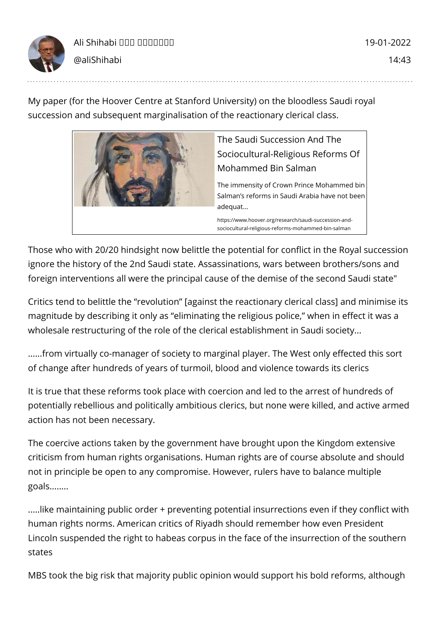

My paper (for the Hoover Centre at Stanford University) on the bloodless Saudi royal succession and subsequent marginalisation of the reactionary clerical class.



The Saudi Succession And The Sociocultural-Religious Reforms Of Mohammed Bin Salman

The immensity of Crown Prince Mohammed bin Salman's reforms in Saudi Arabia have not been adequat...

https://www.hoover.org/research/saudi-succession-andsociocultural-religious-reforms-mohammed-bin-salman

Those who with 20/20 hindsight now belittle the potential for conflict in the Royal succession ignore the history of the 2nd Saudi state. Assassinations, wars between brothers/sons and foreign interventions all were the principal cause of the demise of the second Saudi state"

Critics tend to belittle the "revolution" [against the reactionary clerical class] and minimise its magnitude by describing it only as "eliminating the religious police," when in effect it was a wholesale restructuring of the role of the clerical establishment in Saudi society...

......from virtually co-manager of society to marginal player. The West only effected this sort of change after hundreds of years of turmoil, blood and violence towards its clerics

It is true that these reforms took place with coercion and led to the arrest of hundreds of potentially rebellious and politically ambitious clerics, but none were killed, and active armed action has not been necessary.

The coercive actions taken by the government have brought upon the Kingdom extensive criticism from human rights organisations. Human rights are of course absolute and should not in principle be open to any compromise. However, rulers have to balance multiple goals........

.....like maintaining public order + preventing potential insurrections even if they conflict with human rights norms. American critics of Riyadh should remember how even President Lincoln suspended the right to habeas corpus in the face of the insurrection of the southern states

MBS took the big risk that majority public opinion would support his bold reforms, although